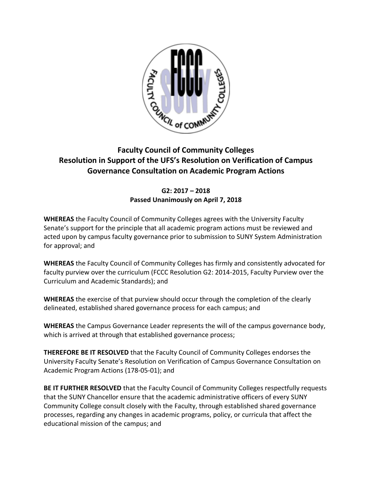

## **Faculty Council of Community Colleges Resolution in Support of the UFS's Resolution on Verification of Campus Governance Consultation on Academic Program Actions**

## **G2: 2017 – 2018 Passed Unanimously on April 7, 2018**

**WHEREAS** the Faculty Council of Community Colleges agrees with the University Faculty Senate's support for the principle that all academic program actions must be reviewed and acted upon by campus faculty governance prior to submission to SUNY System Administration for approval; and

**WHEREAS** the Faculty Council of Community Colleges has firmly and consistently advocated for faculty purview over the curriculum (FCCC Resolution G2: 2014-2015, Faculty Purview over the Curriculum and Academic Standards); and

**WHEREAS** the exercise of that purview should occur through the completion of the clearly delineated, established shared governance process for each campus; and

**WHEREAS** the Campus Governance Leader represents the will of the campus governance body, which is arrived at through that established governance process;

**THEREFORE BE IT RESOLVED** that the Faculty Council of Community Colleges endorses the University Faculty Senate's Resolution on Verification of Campus Governance Consultation on Academic Program Actions (178-05-01); and

**BE IT FURTHER RESOLVED** that the Faculty Council of Community Colleges respectfully requests that the SUNY Chancellor ensure that the academic administrative officers of every SUNY Community College consult closely with the Faculty, through established shared governance processes, regarding any changes in academic programs, policy, or curricula that affect the educational mission of the campus; and